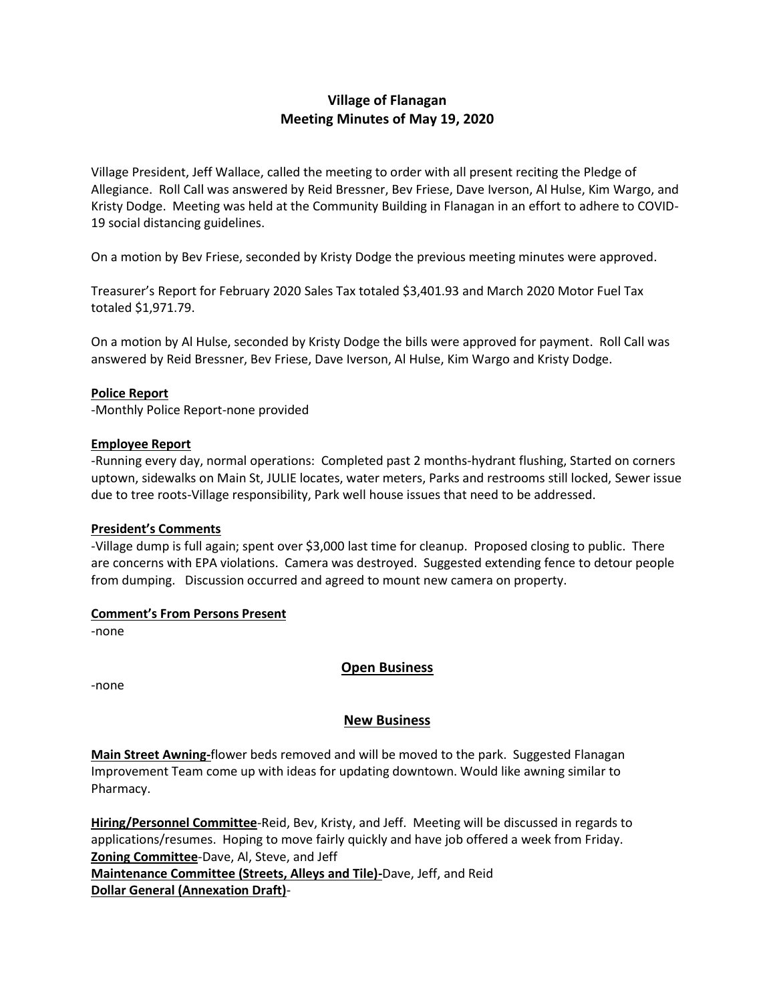# **Village of Flanagan Meeting Minutes of May 19, 2020**

Village President, Jeff Wallace, called the meeting to order with all present reciting the Pledge of Allegiance. Roll Call was answered by Reid Bressner, Bev Friese, Dave Iverson, Al Hulse, Kim Wargo, and Kristy Dodge. Meeting was held at the Community Building in Flanagan in an effort to adhere to COVID-19 social distancing guidelines.

On a motion by Bev Friese, seconded by Kristy Dodge the previous meeting minutes were approved.

Treasurer's Report for February 2020 Sales Tax totaled \$3,401.93 and March 2020 Motor Fuel Tax totaled \$1,971.79.

On a motion by Al Hulse, seconded by Kristy Dodge the bills were approved for payment. Roll Call was answered by Reid Bressner, Bev Friese, Dave Iverson, Al Hulse, Kim Wargo and Kristy Dodge.

### **Police Report**

-Monthly Police Report-none provided

#### **Employee Report**

-Running every day, normal operations: Completed past 2 months-hydrant flushing, Started on corners uptown, sidewalks on Main St, JULIE locates, water meters, Parks and restrooms still locked, Sewer issue due to tree roots-Village responsibility, Park well house issues that need to be addressed.

#### **President's Comments**

-Village dump is full again; spent over \$3,000 last time for cleanup. Proposed closing to public. There are concerns with EPA violations. Camera was destroyed. Suggested extending fence to detour people from dumping. Discussion occurred and agreed to mount new camera on property.

#### **Comment's From Persons Present**

-none

### **Open Business**

-none

### **New Business**

**Main Street Awning-**flower beds removed and will be moved to the park. Suggested Flanagan Improvement Team come up with ideas for updating downtown. Would like awning similar to Pharmacy.

**Hiring/Personnel Committee**-Reid, Bev, Kristy, and Jeff. Meeting will be discussed in regards to applications/resumes. Hoping to move fairly quickly and have job offered a week from Friday. **Zoning Committee**-Dave, Al, Steve, and Jeff **Maintenance Committee (Streets, Alleys and Tile)-**Dave, Jeff, and Reid

**Dollar General (Annexation Draft)**-